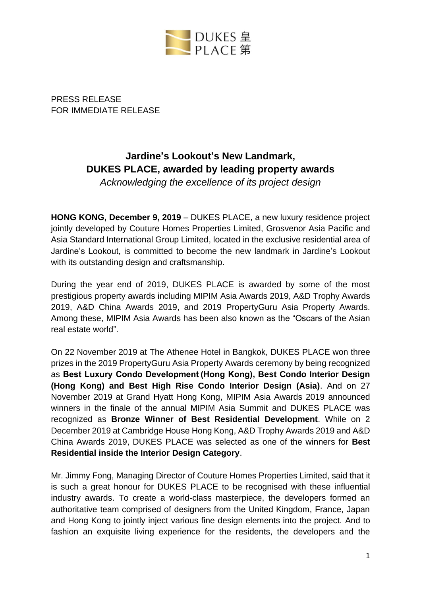

PRESS RELEASE FOR IMMEDIATE RELEASE

# **Jardine's Lookout's New Landmark, DUKES PLACE, awarded by leading property awards**

*Acknowledging the excellence of its project design*

**HONG KONG, December 9, 2019** – DUKES PLACE, a new luxury residence project jointly developed by Couture Homes Properties Limited, Grosvenor Asia Pacific and Asia Standard International Group Limited, located in the exclusive residential area of Jardine's Lookout, is committed to become the new landmark in Jardine's Lookout with its outstanding design and craftsmanship.

During the year end of 2019, DUKES PLACE is awarded by some of the most prestigious property awards including MIPIM Asia Awards 2019, A&D Trophy Awards 2019, A&D China Awards 2019, and 2019 PropertyGuru Asia Property Awards. Among these, MIPIM Asia Awards has been also known as the "Oscars of the Asian real estate world".

On 22 November 2019 at The Athenee Hotel in Bangkok, DUKES PLACE won three prizes in the 2019 PropertyGuru Asia Property Awards ceremony by being recognized as **Best Luxury Condo Development (Hong Kong), Best Condo Interior Design (Hong Kong) and Best High Rise Condo Interior Design (Asia)**. And on 27 November 2019 at Grand Hyatt Hong Kong, MIPIM Asia Awards 2019 announced winners in the finale of the annual MIPIM Asia Summit and DUKES PLACE was recognized as **Bronze Winner of Best Residential Development**. While on 2 December 2019 at Cambridge House Hong Kong, A&D Trophy Awards 2019 and A&D China Awards 2019, DUKES PLACE was selected as one of the winners for **Best Residential inside the Interior Design Category**.

Mr. Jimmy Fong, Managing Director of Couture Homes Properties Limited, said that it is such a great honour for DUKES PLACE to be recognised with these influential industry awards. To create a world-class masterpiece, the developers formed an authoritative team comprised of designers from the United Kingdom, France, Japan and Hong Kong to jointly inject various fine design elements into the project. And to fashion an exquisite living experience for the residents, the developers and the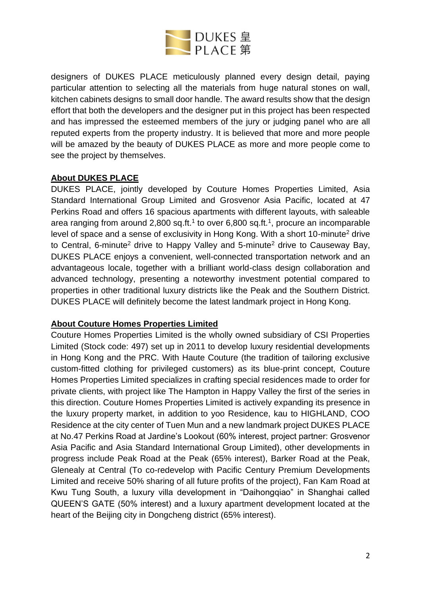

designers of DUKES PLACE meticulously planned every design detail, paying particular attention to selecting all the materials from huge natural stones on wall, kitchen cabinets designs to small door handle. The award results show that the design effort that both the developers and the designer put in this project has been respected and has impressed the esteemed members of the jury or judging panel who are all reputed experts from the property industry. It is believed that more and more people will be amazed by the beauty of DUKES PLACE as more and more people come to see the project by themselves.

## **About DUKES PLACE**

DUKES PLACE, jointly developed by Couture Homes Properties Limited, Asia Standard International Group Limited and Grosvenor Asia Pacific, located at 47 Perkins Road and offers 16 spacious apartments with different layouts, with saleable area ranging from around 2,800 sq.ft.<sup>1</sup> to over 6,800 sq.ft.<sup>1</sup>, procure an incomparable level of space and a sense of exclusivity in Hong Kong. With a short 10-minute<sup>2</sup> drive to Central, 6-minute<sup>2</sup> drive to Happy Valley and 5-minute<sup>2</sup> drive to Causeway Bay, DUKES PLACE enjoys a convenient, well-connected transportation network and an advantageous locale, together with a brilliant world-class design collaboration and advanced technology, presenting a noteworthy investment potential compared to properties in other traditional luxury districts like the Peak and the Southern District. DUKES PLACE will definitely become the latest landmark project in Hong Kong.

#### **About Couture Homes Properties Limited**

Couture Homes Properties Limited is the wholly owned subsidiary of CSI Properties Limited (Stock code: 497) set up in 2011 to develop luxury residential developments in Hong Kong and the PRC. With Haute Couture (the tradition of tailoring exclusive custom-fitted clothing for privileged customers) as its blue-print concept, Couture Homes Properties Limited specializes in crafting special residences made to order for private clients, with project like The Hampton in Happy Valley the first of the series in this direction. Couture Homes Properties Limited is actively expanding its presence in the luxury property market, in addition to yoo Residence, kau to HIGHLAND, COO Residence at the city center of Tuen Mun and a new landmark project DUKES PLACE at No.47 Perkins Road at Jardine's Lookout (60% interest, project partner: Grosvenor Asia Pacific and Asia Standard International Group Limited), other developments in progress include Peak Road at the Peak (65% interest), Barker Road at the Peak, Glenealy at Central (To co-redevelop with Pacific Century Premium Developments Limited and receive 50% sharing of all future profits of the project), Fan Kam Road at Kwu Tung South, a luxury villa development in "Daihongqiao" in Shanghai called QUEEN'S GATE (50% interest) and a luxury apartment development located at the heart of the Beijing city in Dongcheng district (65% interest).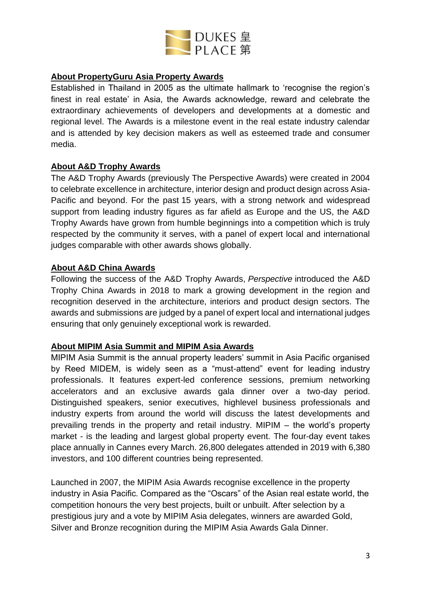

## **About PropertyGuru Asia Property Awards**

Established in Thailand in 2005 as the ultimate hallmark to 'recognise the region's finest in real estate' in Asia, the Awards acknowledge, reward and celebrate the extraordinary achievements of developers and developments at a domestic and regional level. The Awards is a milestone event in the real estate industry calendar and is attended by key decision makers as well as esteemed trade and consumer media.

## **About A&D Trophy Awards**

The A&D Trophy Awards (previously The Perspective Awards) were created in 2004 to celebrate excellence in architecture, interior design and product design across Asia-Pacific and beyond. For the past 15 years, with a strong network and widespread support from leading industry figures as far afield as Europe and the US, the A&D Trophy Awards have grown from humble beginnings into a competition which is truly respected by the community it serves, with a panel of expert local and international judges comparable with other awards shows globally.

## **About A&D China Awards**

Following the success of the A&D Trophy Awards, *Perspective* introduced the A&D Trophy China Awards in 2018 to mark a growing development in the region and recognition deserved in the architecture, interiors and product design sectors. The awards and submissions are judged by a panel of expert local and international judges ensuring that only genuinely exceptional work is rewarded.

## **About MIPIM Asia Summit and MIPIM Asia Awards**

MIPIM Asia Summit is the annual property leaders' summit in Asia Pacific organised by Reed MIDEM, is widely seen as a "must-attend" event for leading industry professionals. It features expert-led conference sessions, premium networking accelerators and an exclusive awards gala dinner over a two-day period. Distinguished speakers, senior executives, highlevel business professionals and industry experts from around the world will discuss the latest developments and prevailing trends in the property and retail industry. MIPIM – the world's property market - is the leading and largest global property event. The four-day event takes place annually in Cannes every March. 26,800 delegates attended in 2019 with 6,380 investors, and 100 different countries being represented.

Launched in 2007, the MIPIM Asia Awards recognise excellence in the property industry in Asia Pacific. Compared as the "Oscars" of the Asian real estate world, the competition honours the very best projects, built or unbuilt. After selection by a prestigious jury and a vote by MIPIM Asia delegates, winners are awarded Gold, Silver and Bronze recognition during the MIPIM Asia Awards Gala Dinner.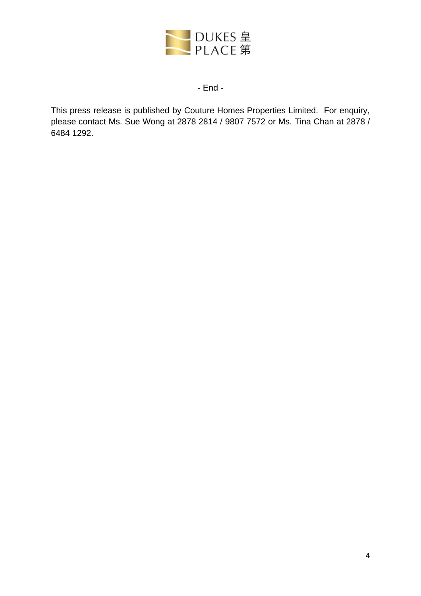

#### - End -

This press release is published by Couture Homes Properties Limited. For enquiry, please contact Ms. Sue Wong at 2878 2814 / 9807 7572 or Ms. Tina Chan at 2878 / 6484 1292.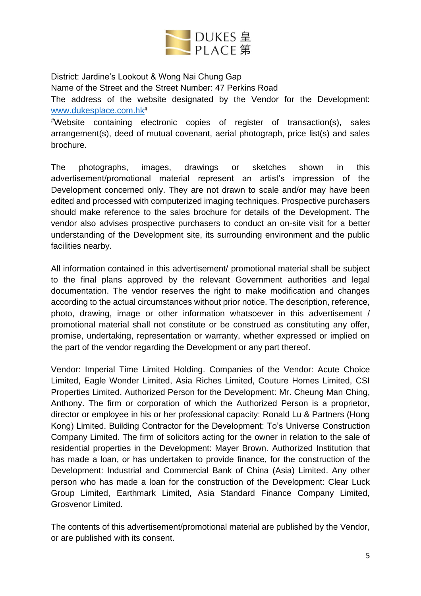

District: Jardine's Lookout & Wong Nai Chung Gap

Name of the Street and the Street Number: 47 Perkins Road

The address of the website designated by the Vendor for the Development: [www.dukesplace.com.hk](http://www.dukesplace.com.hk/)#

#Website containing electronic copies of register of transaction(s), sales arrangement(s), deed of mutual covenant, aerial photograph, price list(s) and sales brochure.

The photographs, images, drawings or sketches shown in this advertisement/promotional material represent an artist's impression of the Development concerned only. They are not drawn to scale and/or may have been edited and processed with computerized imaging techniques. Prospective purchasers should make reference to the sales brochure for details of the Development. The vendor also advises prospective purchasers to conduct an on-site visit for a better understanding of the Development site, its surrounding environment and the public facilities nearby.

All information contained in this advertisement/ promotional material shall be subject to the final plans approved by the relevant Government authorities and legal documentation. The vendor reserves the right to make modification and changes according to the actual circumstances without prior notice. The description, reference, photo, drawing, image or other information whatsoever in this advertisement / promotional material shall not constitute or be construed as constituting any offer, promise, undertaking, representation or warranty, whether expressed or implied on the part of the vendor regarding the Development or any part thereof.

Vendor: Imperial Time Limited Holding. Companies of the Vendor: Acute Choice Limited, Eagle Wonder Limited, Asia Riches Limited, Couture Homes Limited, CSI Properties Limited. Authorized Person for the Development: Mr. Cheung Man Ching, Anthony. The firm or corporation of which the Authorized Person is a proprietor, director or employee in his or her professional capacity: Ronald Lu & Partners (Hong Kong) Limited. Building Contractor for the Development: To's Universe Construction Company Limited. The firm of solicitors acting for the owner in relation to the sale of residential properties in the Development: Mayer Brown. Authorized Institution that has made a loan, or has undertaken to provide finance, for the construction of the Development: Industrial and Commercial Bank of China (Asia) Limited. Any other person who has made a loan for the construction of the Development: Clear Luck Group Limited, Earthmark Limited, Asia Standard Finance Company Limited, Grosvenor Limited.

The contents of this advertisement/promotional material are published by the Vendor, or are published with its consent.